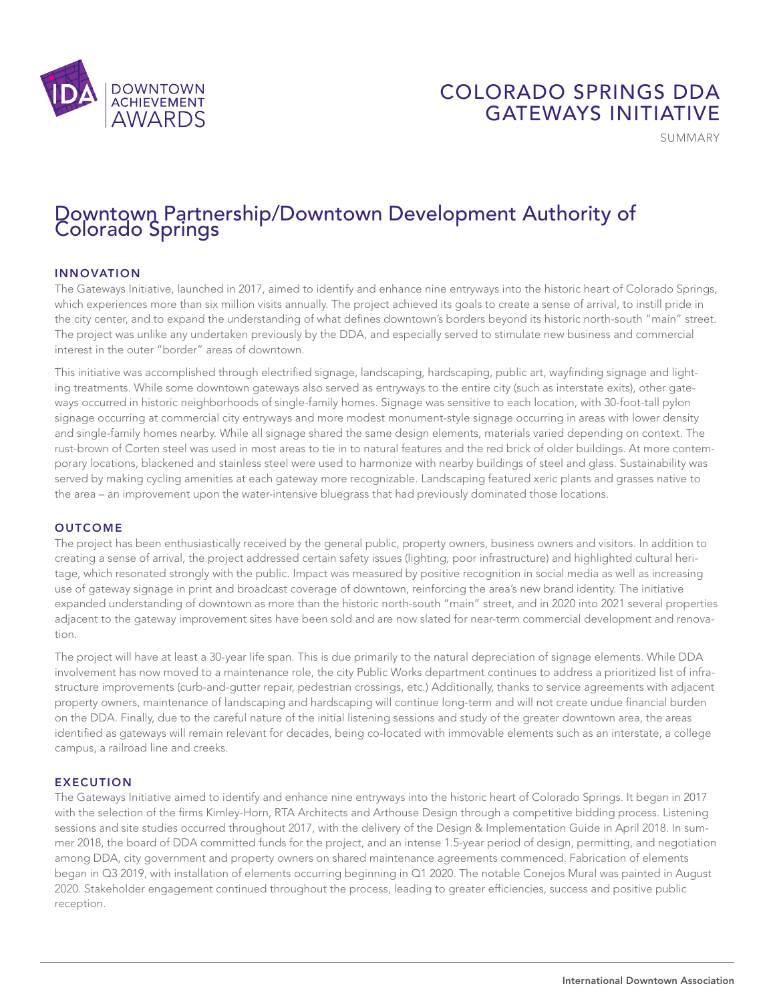

## COLORADO SPRINGS DDA GATEWAYS INITIATIVE

SUMMARY

# Downtown Partnership/Downtown Development Authority of Colorado Springs

### INNOVATION

The Gateways Initiative, launched in 2017, aimed to identify and enhance nine entryways into the historic heart of Colorado Springs, which experiences more than six million visits annually. The project achieved its goals to create a sense of arrival, to instill pride in the city center, and to expand the understanding of what defines downtown's borders beyond its historic north-south "main" street. The project was unlike any undertaken previously by the DDA, and especially served to stimulate new business and commercial interest in the outer "border" areas of downtown.

This initiative was accomplished through electrified signage, landscaping, hardscaping, public art, wayfinding signage and lighting treatments. While some downtown gateways also served as entryways to the entire city (such as interstate exits), other gateways occurred in historic neighborhoods of single-family homes. Signage was sensitive to each location, with 30-foot-tall pylon signage occurring at commercial city entryways and more modest monument-style signage occurring in areas with lower density and single-family homes nearby. While all signage shared the same design elements, materials varied depending on context. The rust-brown of Corten steel was used in most areas to tie in to natural features and the red brick of older buildings. At more contemporary locations, blackened and stainless steel were used to harmonize with nearby buildings of steel and glass. Sustainability was served by making cycling amenities at each gateway more recognizable. Landscaping featured xeric plants and grasses native to the area – an improvement upon the water-intensive bluegrass that had previously dominated those locations.

#### **OUTCOME**

The project has been enthusiastically received by the general public, property owners, business owners and visitors. In addition to creating a sense of arrival, the project addressed certain safety issues (lighting, poor infrastructure) and highlighted cultural heritage, which resonated strongly with the public. Impact was measured by positive recognition in social media as well as increasing use of gateway signage in print and broadcast coverage of downtown, reinforcing the area's new brand identity. The initiative expanded understanding of downtown as more than the historic north-south "main" street, and in 2020 into 2021 several properties adjacent to the gateway improvement sites have been sold and are now slated for near-term commercial development and renovation.

The project will have at least a 30-year life span. This is due primarily to the natural depreciation of signage elements. While DDA involvement has now moved to a maintenance role, the city Public Works department continues to address a prioritized list of infrastructure improvements (curb-and-gutter repair, pedestrian crossings, etc.) Additionally, thanks to service agreements with adjacent property owners, maintenance of landscaping and hardscaping will continue long-term and will not create undue financial burden on the DDA. Finally, due to the careful nature of the initial listening sessions and study of the greater downtown area, the areas identified as gateways will remain relevant for decades, being co-located with immovable elements such as an interstate, a college campus, a railroad line and creeks.

#### EXECUTION

The Gateways Initiative aimed to identify and enhance nine entryways into the historic heart of Colorado Springs. It began in 2017 with the selection of the firms Kimley-Horn, RTA Architects and Arthouse Design through a competitive bidding process. Listening sessions and site studies occurred throughout 2017, with the delivery of the Design & Implementation Guide in April 2018. In summer 2018, the board of DDA committed funds for the project, and an intense 1.5-year period of design, permitting, and negotiation among DDA, city government and property owners on shared maintenance agreements commenced. Fabrication of elements began in Q3 2019, with installation of elements occurring beginning in Q1 2020. The notable Conejos Mural was painted in August 2020. Stakeholder engagement continued throughout the process, leading to greater efficiencies, success and positive public reception.